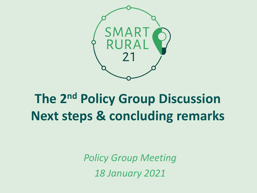

### **The 2nd Policy Group Discussion Next steps & concluding remarks**

*Policy Group Meeting 18 January 2021*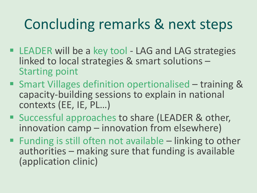## Concluding remarks & next steps

- LEADER will be a key tool LAG and LAG strategies linked to local strategies & smart solutions – Starting point
- Smart Villages definition opertionalised training & capacity-building sessions to explain in national contexts (EE, IE, PL…)
- Successful approaches to share (LEADER & other, innovation camp – innovation from elsewhere)
- **Example 1** Funding is still often not available  $-$  linking to other authorities – making sure that funding is available (application clinic)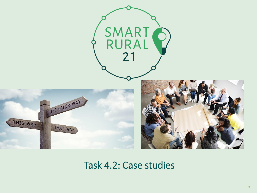

Task 4.2: Case studies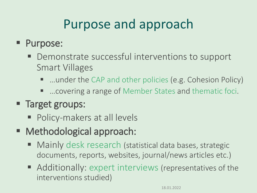### Purpose and approach

#### ■ Purpose:

- Demonstrate successful interventions to support Smart Villages
	- …under the CAP and other policies (e.g. Cohesion Policy)
	- …covering a range of Member States and thematic foci.

#### ■ Target groups:

- Policy-makers at all levels
- Methodological approach:
	- Mainly desk research (statistical data bases, strategic documents, reports, websites, journal/news articles etc.)
	- Additionally: expert interviews (representatives of the interventions studied)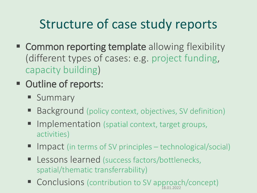### Structure of case study reports

- **EXECOMMON reporting template allowing flexibility** (different types of cases: e.g. project funding, capacity building)
- Outline of reports:
	- **E** Summary
	- Background (policy context, objectives, SV definition)
	- Implementation (spatial context, target groups, activities)
	- Impact (in terms of SV principles technological/social)
	- Lessons learned (success factors/bottlenecks, spatial/thematic transferrability)
	- Conclusions (contribution to SV approach/concept)